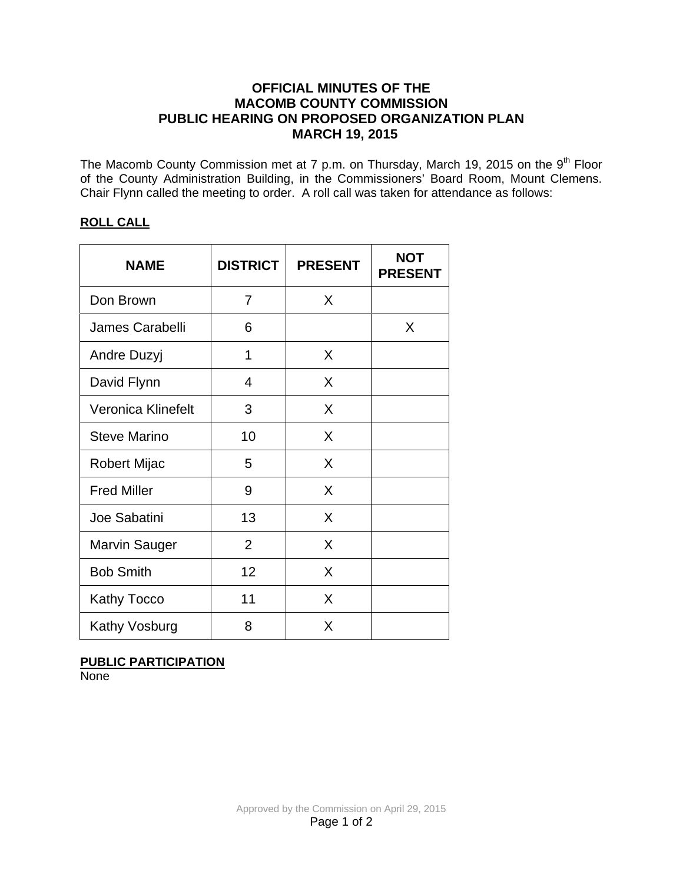### **OFFICIAL MINUTES OF THE MACOMB COUNTY COMMISSION PUBLIC HEARING ON PROPOSED ORGANIZATION PLAN MARCH 19, 2015**

The Macomb County Commission met at 7 p.m. on Thursday, March 19, 2015 on the 9<sup>th</sup> Floor of the County Administration Building, in the Commissioners' Board Room, Mount Clemens. Chair Flynn called the meeting to order. A roll call was taken for attendance as follows:

### **ROLL CALL**

| <b>NAME</b>               | <b>DISTRICT</b> | <b>PRESENT</b> | <b>NOT</b><br><b>PRESENT</b> |
|---------------------------|-----------------|----------------|------------------------------|
| Don Brown                 | 7               | X              |                              |
| James Carabelli           | 6               |                | X                            |
| Andre Duzyj               | 1               | X              |                              |
| David Flynn               | 4               | X              |                              |
| <b>Veronica Klinefelt</b> | 3               | X              |                              |
| <b>Steve Marino</b>       | 10              | X              |                              |
| Robert Mijac              | 5               | X              |                              |
| <b>Fred Miller</b>        | 9               | X              |                              |
| Joe Sabatini              | 13              | X              |                              |
| Marvin Sauger             | $\overline{2}$  | X              |                              |
| <b>Bob Smith</b>          | 12              | X              |                              |
| <b>Kathy Tocco</b>        | 11              | X              |                              |
| Kathy Vosburg             | 8               | X              |                              |

# **PUBLIC PARTICIPATION**

**None**